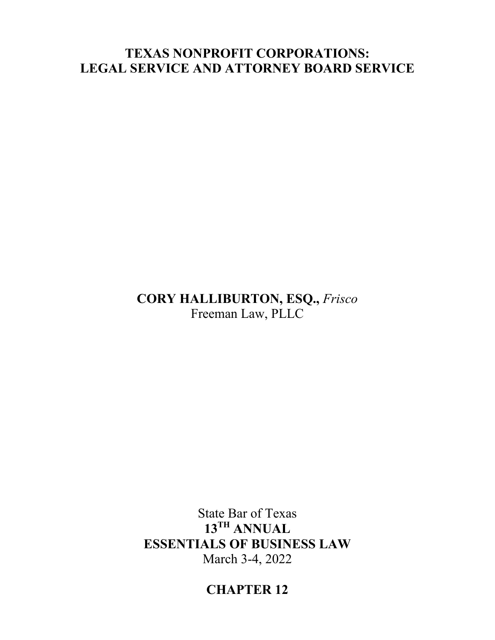## **TEXAS NONPROFIT CORPORATIONS: LEGAL SERVICE AND ATTORNEY BOARD SERVICE**

## **CORY HALLIBURTON, ESQ.,** *Frisco* Freeman Law, PLLC

# State Bar of Texas **13TH ANNUAL ESSENTIALS OF BUSINESS LAW** March 3-4, 2022

# **CHAPTER 12**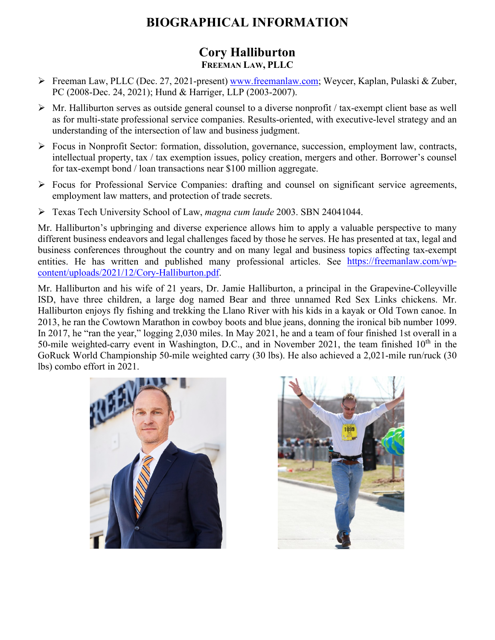# **BIOGRAPHICAL INFORMATION**

## **Cory Halliburton FREEMAN LAW, PLLC**

- Freeman Law, PLLC (Dec. 27, 2021-present) [www.freemanlaw.com;](http://www.freemanlaw.com/) Weycer, Kaplan, Pulaski & Zuber, PC (2008-Dec. 24, 2021); Hund & Harriger, LLP (2003-2007).
- $\triangleright$  Mr. Halliburton serves as outside general counsel to a diverse nonprofit / tax-exempt client base as well as for multi-state professional service companies. Results-oriented, with executive-level strategy and an understanding of the intersection of law and business judgment.
- Focus in Nonprofit Sector: formation, dissolution, governance, succession, employment law, contracts, intellectual property, tax / tax exemption issues, policy creation, mergers and other. Borrower's counsel for tax-exempt bond / loan transactions near \$100 million aggregate.
- $\triangleright$  Focus for Professional Service Companies: drafting and counsel on significant service agreements, employment law matters, and protection of trade secrets.
- Texas Tech University School of Law, *magna cum laude* 2003. SBN 24041044.

Mr. Halliburton's upbringing and diverse experience allows him to apply a valuable perspective to many different business endeavors and legal challenges faced by those he serves. He has presented at tax, legal and business conferences throughout the country and on many legal and business topics affecting tax-exempt entities. He has written and published many professional articles. See [https://freemanlaw.com/wp](https://freemanlaw.com/wp-content/uploads/2021/12/Cory-Halliburton.pdf)[content/uploads/2021/12/Cory-Halliburton.pdf.](https://freemanlaw.com/wp-content/uploads/2021/12/Cory-Halliburton.pdf)

Mr. Halliburton and his wife of 21 years, Dr. Jamie Halliburton, a principal in the Grapevine-Colleyville ISD, have three children, a large dog named Bear and three unnamed Red Sex Links chickens. Mr. Halliburton enjoys fly fishing and trekking the Llano River with his kids in a kayak or Old Town canoe. In 2013, he ran the Cowtown Marathon in cowboy boots and blue jeans, donning the ironical bib number 1099. In 2017, he "ran the year," logging 2,030 miles. In May 2021, he and a team of four finished 1st overall in a 50-mile weighted-carry event in Washington, D.C., and in November 2021, the team finished  $10<sup>th</sup>$  in the GoRuck World Championship 50-mile weighted carry (30 lbs). He also achieved a 2,021-mile run/ruck (30 lbs) combo effort in 2021.



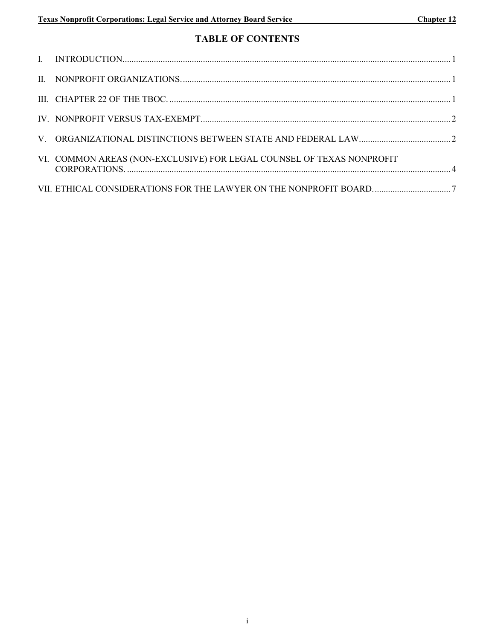### **TABLE OF CONTENTS**

| VI. COMMON AREAS (NON-EXCLUSIVE) FOR LEGAL COUNSEL OF TEXAS NONPROFIT |  |
|-----------------------------------------------------------------------|--|
|                                                                       |  |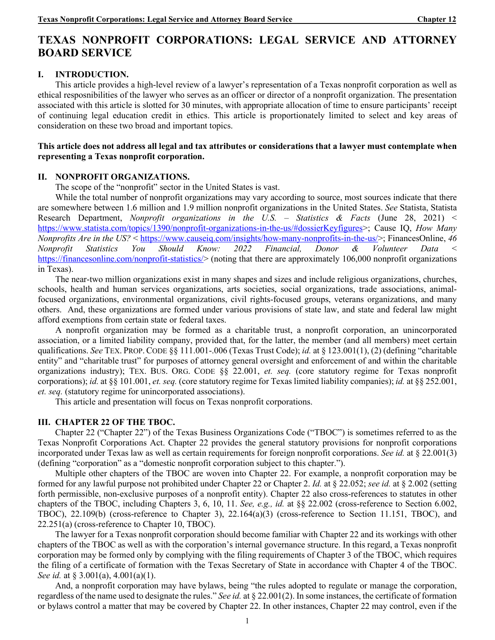## **TEXAS NONPROFIT CORPORATIONS: LEGAL SERVICE AND ATTORNEY BOARD SERVICE**

#### **I. INTRODUCTION.**

This article provides a high-level review of a lawyer's representation of a Texas nonprofit corporation as well as ethical resposnibilities of the lawyer who serves as an officer or director of a nonprofit organization. The presentation associated with this article is slotted for 30 minutes, with appropriate allocation of time to ensure participants' receipt of continuing legal education credit in ethics. This article is proportionately limited to select and key areas of consideration on these two broad and important topics.

#### **This article does not address all legal and tax attributes or considerations that a lawyer must contemplate when representing a Texas nonprofit corporation.**

#### **II. NONPROFIT ORGANIZATIONS.**

The scope of the "nonprofit" sector in the United States is vast.

While the total number of nonprofit organizations may vary according to source, most sources indicate that there are somewhere between 1.6 million and 1.9 million nonprofit organizations in the United States. *See* Statista, Statista Research Department, *Nonprofit organizations in the U.S. – Statistics & Facts* (June 28, 2021) < [https://www.statista.com/topics/1390/nonprofit-organizations-in-the-us/#dossierKeyfigures>](https://www.statista.com/topics/1390/nonprofit-organizations-in-the-us/#dossierKeyfigures); Cause IQ, *How Many Nonprofits Are in the US?* < [https://www.causeiq.com/insights/how-many-nonprofits-in-the-us/>](https://www.causeiq.com/insights/how-many-nonprofits-in-the-us/); FinancesOnline, *46 Nonprofit Statistics You Should Know: 2022 Financial, Donor & Volunteer Data* < [https://financesonline.com/nonprofit-statistics/>](https://financesonline.com/nonprofit-statistics/) (noting that there are approximately 106,000 nonprofit organizations in Texas).

The near-two million organizations exist in many shapes and sizes and include religious organizations, churches, schools, health and human services organizations, arts societies, social organizations, trade associations, animalfocused organizations, environmental organizations, civil rights-focused groups, veterans organizations, and many others. And, these organizations are formed under various provisions of state law, and state and federal law might afford exemptions from certain state or federal taxes.

A nonprofit organization may be formed as a charitable trust, a nonprofit corporation, an unincorporated association, or a limited liability company, provided that, for the latter, the member (and all members) meet certain qualifications. *See* TEX. PROP. CODE §§ 111.001-.006 (Texas Trust Code); *id.* at § 123.001(1), (2) (defining "charitable entity" and "charitable trust" for purposes of attorney general oversight and enforcement of and within the charitable organizations industry); TEX. BUS. ORG. CODE §§ 22.001, *et. seq.* (core statutory regime for Texas nonprofit corporations); *id.* at §§ 101.001, *et. seq.* (core statutory regime for Texas limited liability companies); *id.* at §§ 252.001, *et. seq.* (statutory regime for unincorporated associations).

This article and presentation will focus on Texas nonprofit corporations.

### **III. CHAPTER 22 OF THE TBOC.**

Chapter 22 ("Chapter 22") of the Texas Business Organizations Code ("TBOC") is sometimes referred to as the Texas Nonprofit Corporations Act. Chapter 22 provides the general statutory provisions for nonprofit corporations incorporated under Texas law as well as certain requirements for foreign nonprofit corporations. *See id.* at § 22.001(3) (defining "corporation" as a "domestic nonprofit corporation subject to this chapter.").

Multiple other chapters of the TBOC are woven into Chapter 22. For example, a nonprofit corporation may be formed for any lawful purpose not prohibited under Chapter 22 or Chapter 2. *Id.* at § 22.052; *see id.* at § 2.002 (setting forth permissible, non-exclusive purposes of a nonprofit entity). Chapter 22 also cross-references to statutes in other chapters of the TBOC, including Chapters 3, 6, 10, 11. *See, e.g., id.* at §§ 22.002 (cross-reference to Section 6.002, TBOC), 22.109(b) (cross-reference to Chapter 3), 22.164(a)(3) (cross-reference to Section 11.151, TBOC), and 22.251(a) (cross-reference to Chapter 10, TBOC).

The lawyer for a Texas nonprofit corporation should become familiar with Chapter 22 and its workings with other chapters of the TBOC as well as with the corporation's internal governance structure. In this regard, a Texas nonprofit corporation may be formed only by complying with the filing requirements of Chapter 3 of the TBOC, which requires the filing of a certificate of formation with the Texas Secretary of State in accordance with Chapter 4 of the TBOC. *See id.* at § 3.001(a), 4.001(a)(1).

And, a nonprofit corporation may have bylaws, being "the rules adopted to regulate or manage the corporation, regardless of the name used to designate the rules." *See id.* at § 22.001(2). In some instances, the certificate of formation or bylaws control a matter that may be covered by Chapter 22. In other instances, Chapter 22 may control, even if the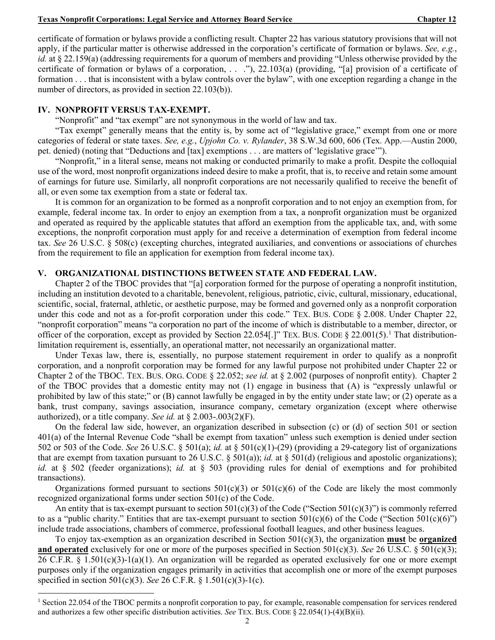certificate of formation or bylaws provide a conflicting result. Chapter 22 has various statutory provisions that will not apply, if the particular matter is otherwise addressed in the corporation's certificate of formation or bylaws. *See, e.g.*, *id.* at § 22.159(a) (addressing requirements for a quorum of members and providing "Unless otherwise provided by the certificate of formation or bylaws of a corporation, . . ."), 22.103(a) (providing, "[a] provision of a certificate of formation . . . that is inconsistent with a bylaw controls over the bylaw", with one exception regarding a change in the number of directors, as provided in section 22.103(b)).

#### **IV. NONPROFIT VERSUS TAX-EXEMPT.**

"Nonprofit" and "tax exempt" are not synonymous in the world of law and tax.

"Tax exempt" generally means that the entity is, by some act of "legislative grace," exempt from one or more categories of federal or state taxes. *See, e.g.*, *Upjohn Co. v. Rylander*, 38 S.W.3d 600, 606 (Tex. App.—Austin 2000, pet. denied) (noting that "Deductions and [tax] exemptions . . . are matters of 'legislative grace'").

"Nonprofit," in a literal sense, means not making or conducted primarily to make a profit. Despite the colloquial use of the word, most nonprofit organizations indeed desire to make a profit, that is, to receive and retain some amount of earnings for future use. Similarly, all nonprofit corporations are not necessarily qualified to receive the benefit of all, or even some tax exemption from a state or federal tax.

It is common for an organization to be formed as a nonprofit corporation and to not enjoy an exemption from, for example, federal income tax. In order to enjoy an exemption from a tax, a nonprofit organization must be organized and operated as required by the applicable statutes that afford an exemption from the applicable tax, and, with some exceptions, the nonprofit corporation must apply for and receive a determination of exemption from federal income tax. *See* 26 U.S.C. § 508(c) (excepting churches, integrated auxiliaries, and conventions or associations of churches from the requirement to file an application for exemption from federal income tax).

#### **V. ORGANIZATIONAL DISTINCTIONS BETWEEN STATE AND FEDERAL LAW.**

Chapter 2 of the TBOC provides that "[a] corporation formed for the purpose of operating a nonprofit institution, including an institution devoted to a charitable, benevolent, religious, patriotic, civic, cultural, missionary, educational, scientific, social, fraternal, athletic, or aesthetic purpose, may be formed and governed only as a nonprofit corporation under this code and not as a for-profit corporation under this code." TEX. BUS. CODE § 2.008. Under Chapter 22, "nonprofit corporation" means "a corporation no part of the income of which is distributable to a member, director, or officer of the corporation, except as provided by Section 22.054[.]" TEX. BUS. CODE § 22.00[1](#page-4-0)(5).<sup>1</sup> That distributionlimitation requirement is, essentially, an operational matter, not necessarily an organizational matter.

Under Texas law, there is, essentially, no purpose statement requirement in order to qualify as a nonprofit corporation, and a nonprofit corporation may be formed for any lawful purpose not prohibited under Chapter 22 or Chapter 2 of the TBOC. TEX. BUS. ORG. CODE § 22.052; *see id.* at § 2.002 (purposes of nonprofit entity). Chapter 2 of the TBOC provides that a domestic entity may not (1) engage in business that (A) is "expressly unlawful or prohibited by law of this state;" or (B) cannot lawfully be engaged in by the entity under state law; or (2) operate as a bank, trust company, savings association, insurance company, cemetary organization (except where otherwise authorized), or a title company. *See id.* at § 2.003-.003(2)(F).

On the federal law side, however, an organization described in subsection (c) or (d) of section 501 or section 401(a) of the Internal Revenue Code "shall be exempt from taxation" unless such exemption is denied under section 502 or 503 of the Code. *See* 26 U.S.C. § 501(a); *id.* at § 501(c)(1)-(29) (providing a 29-category list of organizations that are exempt from taxation pursuant to 26 U.S.C. § 501(a)); *id.* at § 501(d) (religious and apostolic organizations); *id.* at § 502 (feeder organizations); *id.* at § 503 (providing rules for denial of exemptions and for prohibited transactions).

Organizations formed pursuant to sections  $501(c)(3)$  or  $501(c)(6)$  of the Code are likely the most commonly recognized organizational forms under section 501(c) of the Code.

An entity that is tax-exempt pursuant to section  $501(c)(3)$  of the Code ("Section  $501(c)(3)$ ") is commonly referred to as a "public charity." Entities that are tax-exempt pursuant to section  $501(c)(6)$  of the Code ("Section  $501(c)(6)$ ") include trade associations, chambers of commerce, professional football leagues, and other business leagues.

To enjoy tax-exemption as an organization described in Section 501(c)(3), the organization **must** be **organized and operated** exclusively for one or more of the purposes specified in Section 501(c)(3). *See* 26 U.S.C. § 501(c)(3); 26 C.F.R. § 1.501(c)(3)-1(a)(1). An organization will be regarded as operated exclusively for one or more exempt purposes only if the organization engages primarily in activities that accomplish one or more of the exempt purposes specified in section 501(c)(3). *See* 26 C.F.R. § 1.501(c)(3)-1(c).

<span id="page-4-0"></span><sup>&</sup>lt;sup>1</sup> Section 22.054 of the TBOC permits a nonprofit corporation to pay, for example, reasonable compensation for services rendered and authorizes a few other specific distribution activities. *See* TEX. BUS. CODE § 22.054(1)-(4)(B)(ii).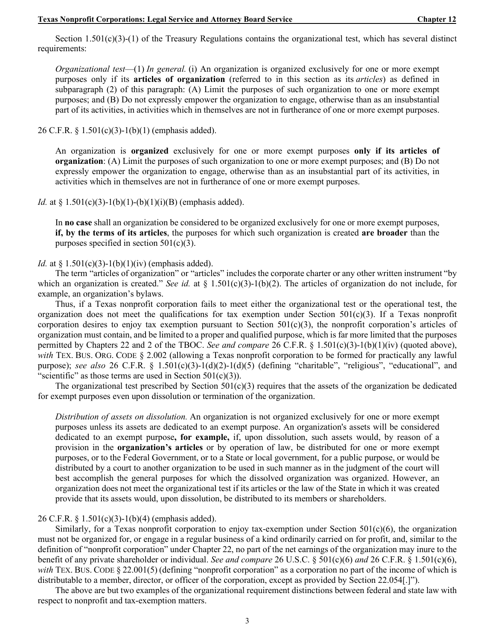Section 1.501(c)(3)-(1) of the Treasury Regulations contains the organizational test, which has several distinct requirements:

*Organizational test*—(1) *In general.* (i) An organization is organized exclusively for one or more exempt purposes only if its **articles of organization** (referred to in this section as its *articles*) as defined in subparagraph (2) of this paragraph: (A) Limit the purposes of such organization to one or more exempt purposes; and (B) Do not expressly empower the organization to engage, otherwise than as an insubstantial part of its activities, in activities which in themselves are not in furtherance of one or more exempt purposes.

26 C.F.R. § 1.501(c)(3)-1(b)(1) (emphasis added).

An organization is **organized** exclusively for one or more exempt purposes **only if its articles of organization**: (A) Limit the purposes of such organization to one or more exempt purposes; and (B) Do not expressly empower the organization to engage, otherwise than as an insubstantial part of its activities, in activities which in themselves are not in furtherance of one or more exempt purposes.

*Id.* at § 1.501(c)(3)-1(b)(1)-(b)(1)(i)(B) (emphasis added).

In **no case** shall an organization be considered to be organized exclusively for one or more exempt purposes, **if, by the terms of its articles**, the purposes for which such organization is created **are broader** than the purposes specified in section  $501(c)(3)$ .

#### *Id.* at  $\frac{1}{501(c)(3)-1(b)(1)(iv)}$  (emphasis added).

The term "articles of organization" or "articles" includes the corporate charter or any other written instrument "by which an organization is created." *See id.* at  $\S 1.501(c)(3)-1(b)(2)$ . The articles of organization do not include, for example, an organization's bylaws.

Thus, if a Texas nonprofit corporation fails to meet either the organizational test or the operational test, the organization does not meet the qualifications for tax exemption under Section  $501(c)(3)$ . If a Texas nonprofit corporation desires to enjoy tax exemption pursuant to Section  $501(c)(3)$ , the nonprofit corporation's articles of organization must contain, and be limited to a proper and qualified purpose, which is far more limited that the purposes permitted by Chapters 22 and 2 of the TBOC. *See and compare* 26 C.F.R. § 1.501(c)(3)-1(b)(1)(iv) (quoted above), *with* TEX. BUS. ORG. CODE § 2.002 (allowing a Texas nonprofit corporation to be formed for practically any lawful purpose); *see also* 26 C.F.R. § 1.501(c)(3)-1(d)(2)-1(d)(5) (defining "charitable", "religious", "educational", and "scientific" as those terms are used in Section  $501(c)(3)$ ).

The organizational test prescribed by Section  $501(c)(3)$  requires that the assets of the organization be dedicated for exempt purposes even upon dissolution or termination of the organization.

*Distribution of assets on dissolution.* An organization is not organized exclusively for one or more exempt purposes unless its assets are dedicated to an exempt purpose. An organization's assets will be considered dedicated to an exempt purpose**, for example,** if, upon dissolution, such assets would, by reason of a provision in the **organization's articles** or by operation of law, be distributed for one or more exempt purposes, or to the Federal Government, or to a State or local government, for a public purpose, or would be distributed by a court to another organization to be used in such manner as in the judgment of the court will best accomplish the general purposes for which the dissolved organization was organized. However, an organization does not meet the organizational test if its articles or the law of the State in which it was created provide that its assets would, upon dissolution, be distributed to its members or shareholders.

#### 26 C.F.R. § 1.501(c)(3)-1(b)(4) (emphasis added).

Similarly, for a Texas nonprofit corporation to enjoy tax-exemption under Section 501(c)(6), the organization must not be organized for, or engage in a regular business of a kind ordinarily carried on for profit, and, similar to the definition of "nonprofit corporation" under Chapter 22, no part of the net earnings of the organization may inure to the benefit of any private shareholder or individual. *See and compare* 26 U.S.C. § 501(c)(6) *and* 26 C.F.R. § 1.501(c)(6), *with* TEX. BUS. CODE § 22.001(5) (defining "nonprofit corporation" as a corporation no part of the income of which is distributable to a member, director, or officer of the corporation, except as provided by Section 22.054[.]").

The above are but two examples of the organizational requirement distinctions between federal and state law with respect to nonprofit and tax-exemption matters.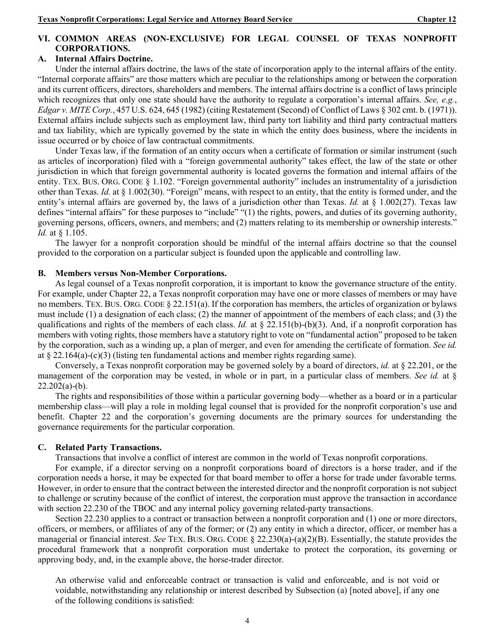### **VI. COMMON AREAS (NON-EXCLUSIVE) FOR LEGAL COUNSEL OF TEXAS NONPROFIT CORPORATIONS.**

#### **A. Internal Affairs Doctrine.**

Under the internal affairs doctrine, the laws of the state of incorporation apply to the internal affairs of the entity. "Internal corporate affairs" are those matters which are peculiar to the relationships among or between the corporation and its current officers, directors, shareholders and members. The internal affairs doctrine is a conflict of laws principle which recognizes that only one state should have the authority to regulate a corporation's internal affairs. *See, e.g.*, *Edgar v. MITE Corp.*, 457 U.S. 624, 645 (1982) (citing Restatement (Second) of Conflict of Laws § 302 cmt. b. (1971)). External affairs include subjects such as employment law, third party tort liability and third party contractual matters and tax liability, which are typically governed by the state in which the entity does business, where the incidents in issue occurred or by choice of law contractual commitments.

Under Texas law, if the formation of an entity occurs when a certificate of formation or similar instrument (such as articles of incorporation) filed with a "foreign governmental authority" takes effect, the law of the state or other jurisdiction in which that foreign governmental authority is located governs the formation and internal affairs of the entity. TEX. BUS. ORG. CODE § 1.102. "Foreign governmental authority" includes an instrumentality of a jurisdiction other than Texas. *Id.* at § 1.002(30). "Foreign" means, with respect to an entity, that the entity is formed under, and the entity's internal affairs are governed by, the laws of a jurisdiction other than Texas. *Id.* at § 1.002(27). Texas law defines "internal affairs" for these purposes to "include" "(1) the rights, powers, and duties of its governing authority, governing persons, officers, owners, and members; and (2) matters relating to its membership or ownership interests." *Id.* at § 1.105.

The lawyer for a nonprofit corporation should be mindful of the internal affairs doctrine so that the counsel provided to the corporation on a particular subject is founded upon the applicable and controlling law.

#### **B. Members versus Non-Member Corporations.**

As legal counsel of a Texas nonprofit corporation, it is important to know the governance structure of the entity. For example, under Chapter 22, a Texas nonprofit corporation may have one or more classes of members or may have no members. TEX. BUS. ORG. CODE § 22.151(a). If the corporation has members, the articles of organization or bylaws must include (1) a designation of each class; (2) the manner of appointment of the members of each class; and (3) the qualifications and rights of the members of each class. *Id.* at § 22.151(b)-(b)(3). And, if a nonprofit corporation has members with voting rights, those members have a statutory right to vote on "fundamental action" proposed to be taken by the corporation, such as a winding up, a plan of merger, and even for amending the certificate of formation. *See id.* at  $\S 22.164(a)-(c)(3)$  (listing ten fundamental actions and member rights regarding same).

Conversely, a Texas nonprofit corporation may be governed solely by a board of directors, *id.* at § 22.201, or the management of the corporation may be vested, in whole or in part, in a particular class of members. *See id.* at §  $22.202(a)-(b)$ .

The rights and responsibilities of those within a particular governing body—whether as a board or in a particular membership class—will play a role in molding legal counsel that is provided for the nonprofit corporation's use and benefit. Chapter 22 and the corporation's governing documents are the primary sources for understanding the governance requirements for the particular corporation.

#### **C. Related Party Transactions.**

Transactions that involve a conflict of interest are common in the world of Texas nonprofit corporations.

For example, if a director serving on a nonprofit corporations board of directors is a horse trader, and if the corporation needs a horse, it may be expected for that board member to offer a horse for trade under favorable terms. However, in order to ensure that the contract between the interested director and the nonprofit corporation is not subject to challenge or scrutiny because of the conflict of interest, the corporation must approve the transaction in accordance with section 22.230 of the TBOC and any internal policy governing related-party transactions.

Section 22.230 applies to a contract or transaction between a nonprofit corporation and (1) one or more directors, officers, or members, or affiliates of any of the former; or (2) any entity in which a director, officer, or member has a managerial or financial interest. *See* TEX. BUS. ORG. CODE § 22.230(a)-(a)(2)(B). Essentially, the statute provides the procedural framework that a nonprofit corporation must undertake to protect the corporation, its governing or approving body, and, in the example above, the horse-trader director.

An otherwise valid and enforceable contract or transaction is valid and enforceable, and is not void or voidable, notwithstanding any relationship or interest described by Subsection (a) [noted above], if any one of the following conditions is satisfied: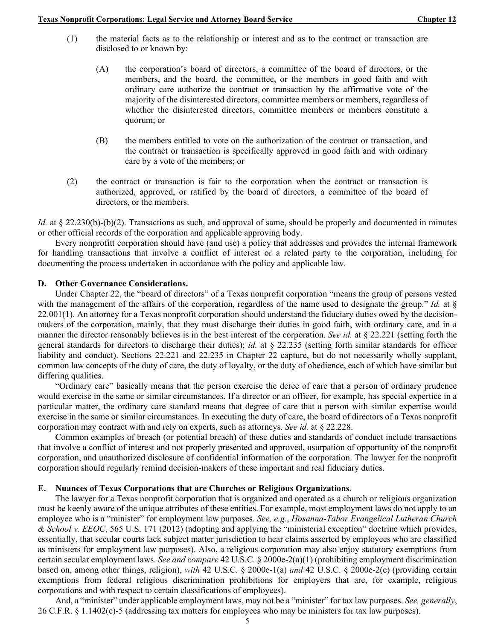- (1) the material facts as to the relationship or interest and as to the contract or transaction are disclosed to or known by:
	- (A) the corporation's board of directors, a committee of the board of directors, or the members, and the board, the committee, or the members in good faith and with ordinary care authorize the contract or transaction by the affirmative vote of the majority of the disinterested directors, committee members or members, regardless of whether the disinterested directors, committee members or members constitute a quorum; or
	- (B) the members entitled to vote on the authorization of the contract or transaction, and the contract or transaction is specifically approved in good faith and with ordinary care by a vote of the members; or
- (2) the contract or transaction is fair to the corporation when the contract or transaction is authorized, approved, or ratified by the board of directors, a committee of the board of directors, or the members.

*Id.* at § 22.230(b)-(b)(2). Transactions as such, and approval of same, should be properly and documented in minutes or other official records of the corporation and applicable approving body.

Every nonprofitt corporation should have (and use) a policy that addresses and provides the internal framework for handling transactions that involve a conflict of interest or a related party to the corporation, including for documenting the process undertaken in accordance with the policy and applicable law.

#### **D. Other Governance Considerations.**

Under Chapter 22, the "board of directors" of a Texas nonprofit corporation "means the group of persons vested with the management of the affairs of the corporation, regardless of the name used to designate the group." *Id.* at  $\S$  $22.001(1)$ . An attorney for a Texas nonprofit corporation should understand the fiduciary duties owed by the decisionmakers of the corporation, mainly, that they must discharge their duties in good faith, with ordinary care, and in a manner the director reasonably believes is in the best interest of the corporation. *See id.* at § 22.221 (setting forth the general standards for directors to discharge their duties); *id.* at § 22.235 (setting forth similar standards for officer liability and conduct). Sections 22.221 and 22.235 in Chapter 22 capture, but do not necessarily wholly supplant, common law concepts of the duty of care, the duty of loyalty, or the duty of obedience, each of which have similar but differing qualities.

"Ordinary care" basically means that the person exercise the deree of care that a person of ordinary prudence would exercise in the same or similar circumstances. If a director or an officer, for example, has special expertice in a particular matter, the ordinary care standard means that degree of care that a person with similar expertise would exercise in the same or similar circumstances. In executing the duty of care, the board of directors of a Texas nonprofit corporation may contract with and rely on experts, such as attorneys. *See id.* at § 22.228.

Common examples of breach (or potential breach) of these duties and standards of conduct include transactions that involve a conflict of interest and not properly presented and approved, usurpation of opportunity of the nonprofit corporation, and unauthorized disclosure of confidential information of the corporation. The lawyer for the nonprofit corporation should regularly remind decision-makers of these important and real fiduciary duties.

#### **E. Nuances of Texas Corporations that are Churches or Religious Organizations.**

The lawyer for a Texas nonprofit corporation that is organized and operated as a church or religious organization must be keenly aware of the unique attributes of these entities. For example, most employment laws do not apply to an employee who is a "minister" for employment law purposes. *See, e.g.*, *Hosanna-Tabor Evangelical Lutheran Church & School v. EEOC*, 565 U.S. 171 (2012) (adopting and applying the "ministerial exception" doctrine which provides, essentially, that secular courts lack subject matter jurisdiction to hear claims asserted by employees who are classified as ministers for employment law purposes). Also, a religious corporation may also enjoy statutory exemptions from certain secular employment laws. *See and compare* 42 U.S.C. § 2000e-2(a)(1) (prohibiting employment discrimination based on, among other things, religion), *with* 42 U.S.C. § 2000e-1(a) *and* 42 U.S.C. § 2000e-2(e) (providing certain exemptions from federal religious discrimination prohibitions for employers that are, for example, religious corporations and with respect to certain classifications of employees).

And, a "minister" under applicable employment laws, may not be a "minister" for tax law purposes. *See, generally*, 26 C.F.R. § 1.1402(c)-5 (addressing tax matters for employees who may be ministers for tax law purposes).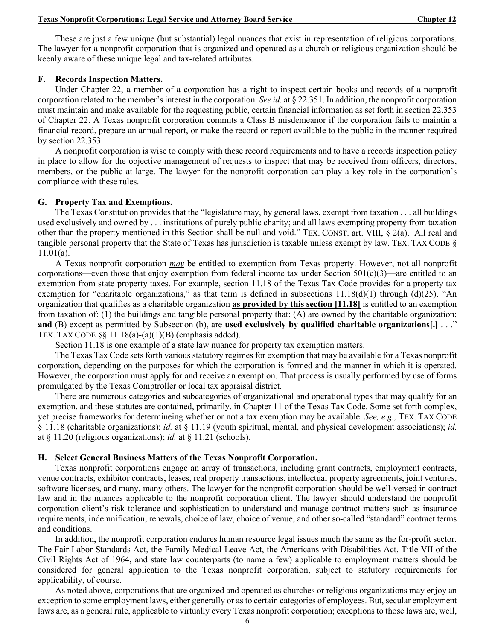These are just a few unique (but substantial) legal nuances that exist in representation of religious corporations. The lawyer for a nonprofit corporation that is organized and operated as a church or religious organization should be keenly aware of these unique legal and tax-related attributes.

#### **F. Records Inspection Matters.**

Under Chapter 22, a member of a corporation has a right to inspect certain books and records of a nonprofit corporation related to the member's interest in the corporation. *See id.* at § 22.351. In addition, the nonprofit corporation must maintain and make available for the requesting public, certain financial information as set forth in section 22.353 of Chapter 22. A Texas nonprofit corporation commits a Class B misdemeanor if the corporation fails to maintin a financial record, prepare an annual report, or make the record or report available to the public in the manner required by section 22.353.

A nonprofit corporation is wise to comply with these record requirements and to have a records inspection policy in place to allow for the objective management of requests to inspect that may be received from officers, directors, members, or the public at large. The lawyer for the nonprofit corporation can play a key role in the corporation's compliance with these rules.

#### **G. Property Tax and Exemptions.**

The Texas Constitution provides that the "legislature may, by general laws, exempt from taxation . . . all buildings used exclusively and owned by . . . institutions of purely public charity; and all laws exempting property from taxation other than the property mentioned in this Section shall be null and void." TEX. CONST. art. VIII, § 2(a). All real and tangible personal property that the State of Texas has jurisdiction is taxable unless exempt by law. TEX. TAX CODE § 11.01(a).

A Texas nonprofit corporation *may* be entitled to exemption from Texas property. However, not all nonprofit corporations—even those that enjoy exemption from federal income tax under Section  $501(c)(3)$ —are entitled to an exemption from state property taxes. For example, section 11.18 of the Texas Tax Code provides for a property tax exemption for "charitable organizations," as that term is defined in subsections 11.18(d)(1) through (d)(25). "An organization that qualifies as a charitable organization **as provided by this section [11.18]** is entitled to an exemption from taxation of: (1) the buildings and tangible personal property that: (A) are owned by the charitable organization; **and** (B) except as permitted by Subsection (b), are **used exclusively by qualified charitable organizations[.]** . . ." TEX. TAX CODE  $\S\S 11.18(a)-(a)(1)(B)$  (emphasis added).

Section 11.18 is one example of a state law nuance for property tax exemption matters.

The Texas Tax Code sets forth various statutory regimes for exemption that may be available for a Texas nonprofit corporation, depending on the purposes for which the corporation is formed and the manner in which it is operated. However, the corporation must apply for and receive an exemption. That process is usually performed by use of forms promulgated by the Texas Comptroller or local tax appraisal district.

There are numerous categories and subcategories of organizational and operational types that may qualify for an exemption, and these statutes are contained, primarily, in Chapter 11 of the Texas Tax Code. Some set forth complex, yet precise frameworks for determineing whether or not a tax exemption may be available. *See, e.g.,* TEX. TAX CODE § 11.18 (charitable organizations); *id.* at § 11.19 (youth spiritual, mental, and physical development associations); *id.*  at § 11.20 (religious organizations); *id.* at § 11.21 (schools).

#### **H. Select General Business Matters of the Texas Nonprofit Corporation.**

Texas nonprofit corporations engage an array of transactions, including grant contracts, employment contracts, venue contracts, exhibitor contracts, leases, real property transactions, intellectual property agreements, joint ventures, software licenses, and many, many others. The lawyer for the nonprofit corporation should be well-versed in contract law and in the nuances applicable to the nonprofit corporation client. The lawyer should understand the nonprofit corporation client's risk tolerance and sophistication to understand and manage contract matters such as insurance requirements, indemnification, renewals, choice of law, choice of venue, and other so-called "standard" contract terms and conditions.

In addition, the nonprofit corporation endures human resource legal issues much the same as the for-profit sector. The Fair Labor Standards Act, the Family Medical Leave Act, the Americans with Disabilities Act, Title VII of the Civil Rights Act of 1964, and state law counterparts (to name a few) applicable to employment matters should be considered for general application to the Texas nonprofit corporation, subject to statutory requirements for applicability, of course.

As noted above, corporations that are organized and operated as churches or religious organizations may enjoy an exception to some employment laws, either generally or as to certain categories of employees. But, secular employment laws are, as a general rule, applicable to virtually every Texas nonprofit corporation; exceptions to those laws are, well,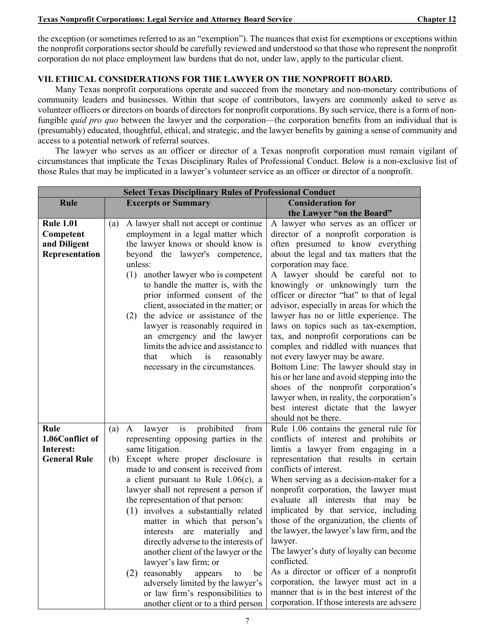the exception (or sometimes referred to as an "exemption"). The nuances that exist for exemptions or exceptions within the nonprofit corporations sector should be carefully reviewed and understood so that those who represent the nonprofit corporation do not place employment law burdens that do not, under law, apply to the particular client.

### **VII. ETHICAL CONSIDERATIONS FOR THE LAWYER ON THE NONPROFIT BOARD.**

Many Texas nonprofit corporations operate and succeed from the monetary and non-monetary contributions of community leaders and businesses. Within that scope of contributors, lawyers are commonly asked to serve as volunteer officers or directors on boards of directors for nonprofit corporations. By such service, there is a form of nonfungible *quid pro quo* between the lawyer and the corporation—the corporation benefits from an individual that is (presumably) educated, thoughtful, ethical, and strategic, and the lawyer benefits by gaining a sense of community and access to a potential network of referral sources.

The lawyer who serves as an officer or director of a Texas nonprofit corporation must remain vigilant of circumstances that implicate the Texas Disciplinary Rules of Professional Conduct. Below is a non-exclusive list of those Rules that may be implicated in a lawyer's volunteer service as an officer or director of a nonprofit.

| <b>Select Texas Disciplinary Rules of Professional Conduct</b>  |                                                                                                                                                                                                                                                                                                                                                                                                                                                                                                                                                                                                                                                                                                         |                                                                                                                                                                                                                                                                                                                                                                                                                                                                                                                                                                                                                                                                                                                                                                                                                         |  |  |
|-----------------------------------------------------------------|---------------------------------------------------------------------------------------------------------------------------------------------------------------------------------------------------------------------------------------------------------------------------------------------------------------------------------------------------------------------------------------------------------------------------------------------------------------------------------------------------------------------------------------------------------------------------------------------------------------------------------------------------------------------------------------------------------|-------------------------------------------------------------------------------------------------------------------------------------------------------------------------------------------------------------------------------------------------------------------------------------------------------------------------------------------------------------------------------------------------------------------------------------------------------------------------------------------------------------------------------------------------------------------------------------------------------------------------------------------------------------------------------------------------------------------------------------------------------------------------------------------------------------------------|--|--|
| <b>Rule</b>                                                     | <b>Excerpts or Summary</b>                                                                                                                                                                                                                                                                                                                                                                                                                                                                                                                                                                                                                                                                              | <b>Consideration for</b>                                                                                                                                                                                                                                                                                                                                                                                                                                                                                                                                                                                                                                                                                                                                                                                                |  |  |
|                                                                 |                                                                                                                                                                                                                                                                                                                                                                                                                                                                                                                                                                                                                                                                                                         | the Lawyer "on the Board"                                                                                                                                                                                                                                                                                                                                                                                                                                                                                                                                                                                                                                                                                                                                                                                               |  |  |
| <b>Rule 1.01</b><br>Competent<br>and Diligent<br>Representation | A lawyer shall not accept or continue<br>(a)<br>employment in a legal matter which<br>the lawyer knows or should know is<br>beyond the lawyer's competence,<br>unless:<br>(1)<br>another lawyer who is competent<br>to handle the matter is, with the<br>prior informed consent of the<br>client, associated in the matter; or<br>the advice or assistance of the<br>(2)<br>lawyer is reasonably required in<br>an emergency and the lawyer<br>limits the advice and assistance to<br>which<br>that<br>is<br>reasonably<br>necessary in the circumstances.                                                                                                                                              | A lawyer who serves as an officer or<br>director of a nonprofit corporation is<br>often presumed to know everything<br>about the legal and tax matters that the<br>corporation may face.<br>A lawyer should be careful not to<br>knowingly or unknowingly turn the<br>officer or director "hat" to that of legal<br>advisor, especially in areas for which the<br>lawyer has no or little experience. The<br>laws on topics such as tax-exemption,<br>tax, and nonprofit corporations can be<br>complex and riddled with nuances that<br>not every lawyer may be aware.<br>Bottom Line: The lawyer should stay in<br>his or her lane and avoid stepping into the<br>shoes of the nonprofit corporation's<br>lawyer when, in reality, the corporation's<br>best interest dictate that the lawyer<br>should not be there. |  |  |
| Rule<br>1.06Conflict of<br>Interest:<br><b>General Rule</b>     | is<br>prohibited<br>from<br>lawyer<br>(a)<br>A<br>representing opposing parties in the<br>same litigation.<br>(b) Except where proper disclosure is<br>made to and consent is received from<br>a client pursuant to Rule $1.06(c)$ , a<br>lawyer shall not represent a person if<br>the representation of that person:<br>(1) involves a substantially related<br>matter in which that person's<br>interests are materially<br>and<br>directly adverse to the interests of<br>another client of the lawyer or the<br>lawyer's law firm; or<br>reasonably<br>appears<br>be<br>(2)<br>to<br>adversely limited by the lawyer's<br>or law firm's responsibilities to<br>another client or to a third person | Rule 1.06 contains the general rule for<br>conflicts of interest and prohibits or<br>limtis a lawyer from engaging in a<br>representation that results in certain<br>conflicts of interest.<br>When serving as a decision-maker for a<br>nonprofit corporation, the lawyer must<br>evaluate all interests that may be<br>implicated by that service, including<br>those of the organization, the clients of<br>the lawyer, the lawyer's law firm, and the<br>lawyer.<br>The lawyer's duty of loyalty can become<br>conflicted.<br>As a director or officer of a nonprofit<br>corporation, the lawyer must act in a<br>manner that is in the best interest of the<br>corporation. If those interests are advsere                                                                                                         |  |  |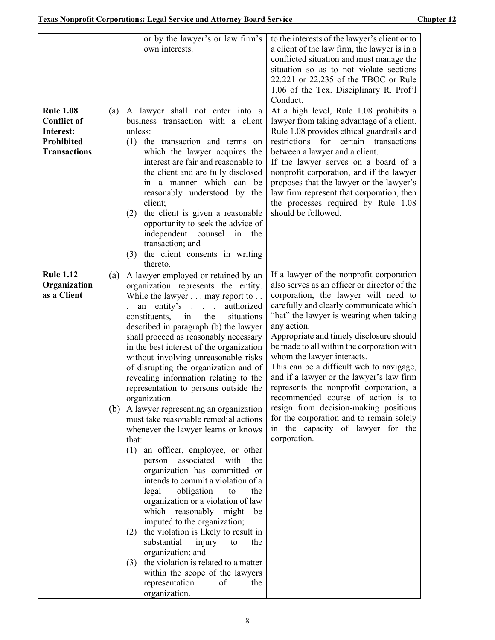|                     | or by the lawyer's or law firm's                                                  | to the interests of the lawyer's client or to                                          |
|---------------------|-----------------------------------------------------------------------------------|----------------------------------------------------------------------------------------|
|                     | own interests.                                                                    | a client of the law firm, the lawyer is in a                                           |
|                     |                                                                                   | conflicted situation and must manage the                                               |
|                     |                                                                                   | situation so as to not violate sections                                                |
|                     |                                                                                   | 22.221 or 22.235 of the TBOC or Rule                                                   |
|                     |                                                                                   | 1.06 of the Tex. Disciplinary R. Prof'l<br>Conduct.                                    |
| <b>Rule 1.08</b>    | A lawyer shall not enter into a<br>(a)                                            | At a high level, Rule 1.08 prohibits a                                                 |
| <b>Conflict of</b>  | business transaction with a client                                                | lawyer from taking advantage of a client.                                              |
| Interest:           | unless:                                                                           | Rule 1.08 provides ethical guardrails and                                              |
| <b>Prohibited</b>   | (1) the transaction and terms on                                                  | restrictions for certain transactions                                                  |
| <b>Transactions</b> | which the lawyer acquires the                                                     | between a lawyer and a client.                                                         |
|                     | interest are fair and reasonable to                                               | If the lawyer serves on a board of a                                                   |
|                     | the client and are fully disclosed                                                | nonprofit corporation, and if the lawyer                                               |
|                     | in a manner which can be                                                          | proposes that the lawyer or the lawyer's                                               |
|                     | reasonably understood by the<br>client;                                           | law firm represent that corporation, then<br>the processes required by Rule 1.08       |
|                     | the client is given a reasonable<br>(2)                                           | should be followed.                                                                    |
|                     | opportunity to seek the advice of                                                 |                                                                                        |
|                     | independent counsel in the                                                        |                                                                                        |
|                     | transaction; and                                                                  |                                                                                        |
|                     | (3) the client consents in writing                                                |                                                                                        |
| <b>Rule 1.12</b>    | thereto.                                                                          | If a lawyer of the nonprofit corporation                                               |
| Organization        | A lawyer employed or retained by an<br>(a)<br>organization represents the entity. | also serves as an officer or director of the                                           |
| as a Client         | While the lawyer may report to                                                    | corporation, the lawyer will need to                                                   |
|                     | $\mathbf{r}$ . $\mathbf{r}$<br>authorized<br>entity's<br>an                       | carefully and clearly communicate which                                                |
|                     | constituents,<br>the<br>in<br>situations                                          | "hat" the lawyer is wearing when taking                                                |
|                     | described in paragraph (b) the lawyer                                             | any action.                                                                            |
|                     | shall proceed as reasonably necessary<br>in the best interest of the organization | Appropriate and timely disclosure should<br>be made to all within the corporation with |
|                     | without involving unreasonable risks                                              | whom the lawyer interacts.                                                             |
|                     | of disrupting the organization and of                                             | This can be a difficult web to navigage,                                               |
|                     | revealing information relating to the                                             | and if a lawyer or the lawyer's law firm                                               |
|                     | representation to persons outside the                                             | represents the nonprofit corporation, a                                                |
|                     | organization.                                                                     | recommended course of action is to                                                     |
|                     | (b) A lawyer representing an organization                                         | resign from decision-making positions<br>for the corporation and to remain solely      |
|                     | must take reasonable remedial actions<br>whenever the lawyer learns or knows      | in the capacity of lawyer for the                                                      |
|                     | that:                                                                             | corporation.                                                                           |
|                     | (1)<br>an officer, employee, or other                                             |                                                                                        |
|                     | associated<br>person<br>with the                                                  |                                                                                        |
|                     | organization has committed or                                                     |                                                                                        |
|                     | intends to commit a violation of a                                                |                                                                                        |
|                     | obligation<br>legal<br>the<br>to                                                  |                                                                                        |
|                     | organization or a violation of law<br>which reasonably might<br>be                |                                                                                        |
|                     | imputed to the organization;                                                      |                                                                                        |
|                     | the violation is likely to result in<br>(2)                                       |                                                                                        |
|                     | substantial<br>the<br>injury<br>to                                                |                                                                                        |
|                     | organization; and                                                                 |                                                                                        |
|                     | the violation is related to a matter<br>(3)                                       |                                                                                        |
|                     | within the scope of the lawyers                                                   |                                                                                        |
|                     | representation<br>of<br>the<br>organization.                                      |                                                                                        |
|                     |                                                                                   |                                                                                        |